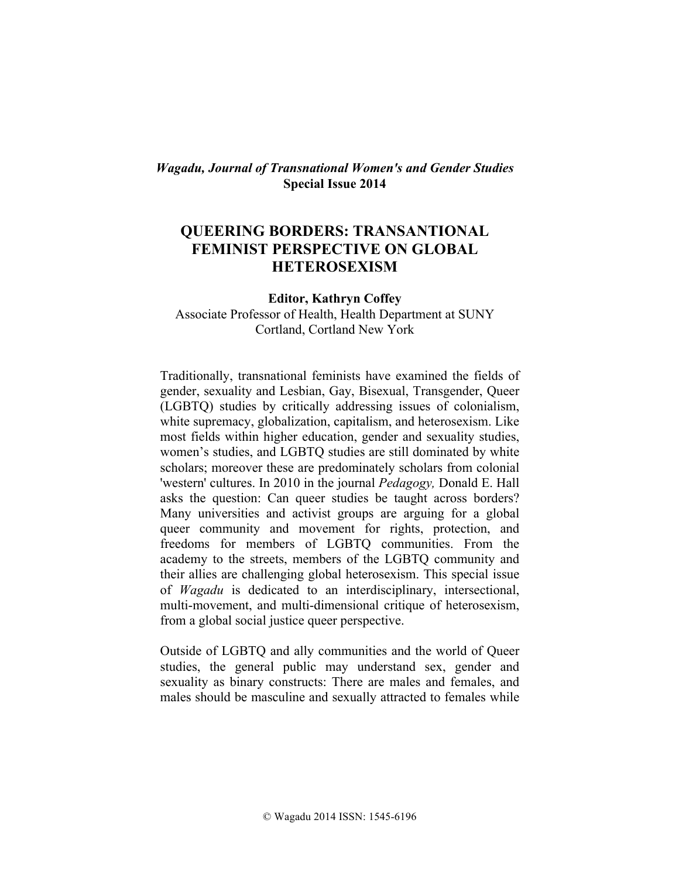## *Wagadu, Journal of Transnational Women's and Gender Studies* **Special Issue 2014**

## **QUEERING BORDERS: TRANSANTIONAL FEMINIST PERSPECTIVE ON GLOBAL HETEROSEXISM**

**Editor, Kathryn Coffey** Associate Professor of Health, Health Department at SUNY Cortland, Cortland New York

Traditionally, transnational feminists have examined the fields of gender, sexuality and Lesbian, Gay, Bisexual, Transgender, Queer (LGBTQ) studies by critically addressing issues of colonialism, white supremacy, globalization, capitalism, and heterosexism. Like most fields within higher education, gender and sexuality studies, women's studies, and LGBTQ studies are still dominated by white scholars; moreover these are predominately scholars from colonial 'western' cultures. In 2010 in the journal *Pedagogy,* Donald E. Hall asks the question: Can queer studies be taught across borders? Many universities and activist groups are arguing for a global queer community and movement for rights, protection, and freedoms for members of LGBTQ communities. From the academy to the streets, members of the LGBTQ community and their allies are challenging global heterosexism. This special issue of *Wagadu* is dedicated to an interdisciplinary, intersectional, multi-movement, and multi-dimensional critique of heterosexism, from a global social justice queer perspective.

Outside of LGBTQ and ally communities and the world of Queer studies, the general public may understand sex, gender and sexuality as binary constructs: There are males and females, and males should be masculine and sexually attracted to females while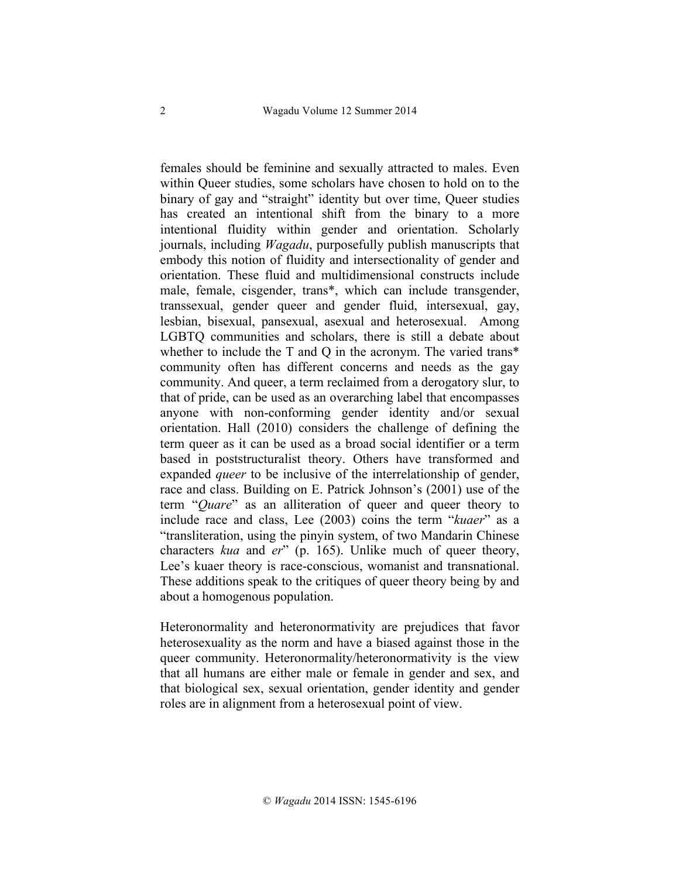females should be feminine and sexually attracted to males. Even within Queer studies, some scholars have chosen to hold on to the binary of gay and "straight" identity but over time, Queer studies has created an intentional shift from the binary to a more intentional fluidity within gender and orientation. Scholarly journals, including *Wagadu*, purposefully publish manuscripts that embody this notion of fluidity and intersectionality of gender and orientation. These fluid and multidimensional constructs include male, female, cisgender, trans\*, which can include transgender, transsexual, gender queer and gender fluid, intersexual, gay, lesbian, bisexual, pansexual, asexual and heterosexual. Among LGBTQ communities and scholars, there is still a debate about whether to include the T and Q in the acronym. The varied trans\* community often has different concerns and needs as the gay community. And queer, a term reclaimed from a derogatory slur, to that of pride, can be used as an overarching label that encompasses anyone with non-conforming gender identity and/or sexual orientation. Hall (2010) considers the challenge of defining the term queer as it can be used as a broad social identifier or a term based in poststructuralist theory. Others have transformed and expanded *queer* to be inclusive of the interrelationship of gender, race and class. Building on E. Patrick Johnson's (2001) use of the term "*Quare*" as an alliteration of queer and queer theory to include race and class, Lee (2003) coins the term "*kuaer*" as a "transliteration, using the pinyin system, of two Mandarin Chinese characters *kua* and *er*" (p. 165). Unlike much of queer theory, Lee's kuaer theory is race-conscious, womanist and transnational. These additions speak to the critiques of queer theory being by and about a homogenous population.

Heteronormality and heteronormativity are prejudices that favor heterosexuality as the norm and have a biased against those in the queer community. Heteronormality/heteronormativity is the view that all humans are either male or female in gender and sex, and that biological sex, sexual orientation, gender identity and gender roles are in alignment from a heterosexual point of view.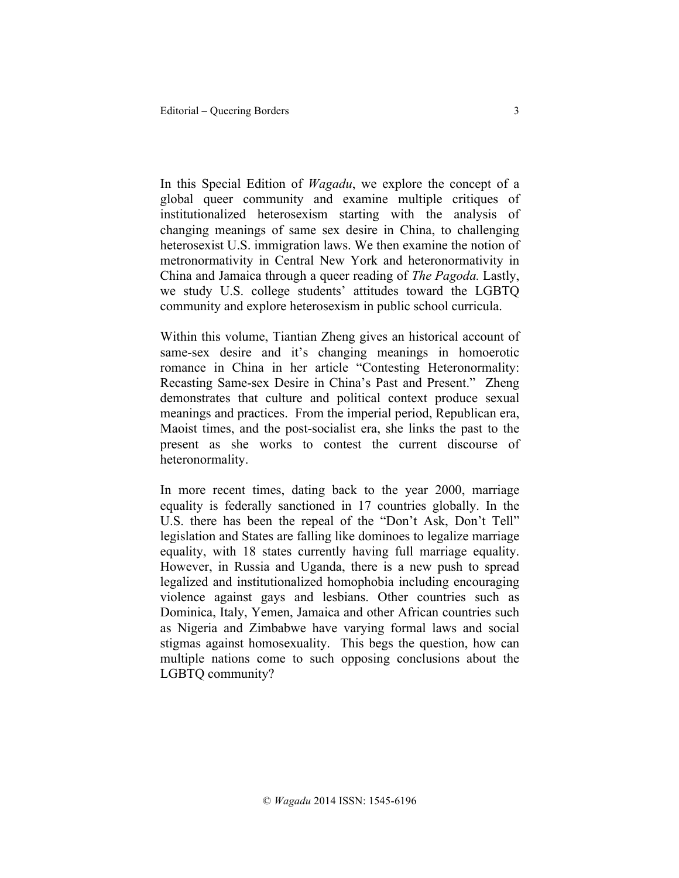In this Special Edition of *Wagadu*, we explore the concept of a global queer community and examine multiple critiques of institutionalized heterosexism starting with the analysis of changing meanings of same sex desire in China, to challenging heterosexist U.S. immigration laws. We then examine the notion of metronormativity in Central New York and heteronormativity in China and Jamaica through a queer reading of *The Pagoda.* Lastly, we study U.S. college students' attitudes toward the LGBTQ community and explore heterosexism in public school curricula.

Within this volume, Tiantian Zheng gives an historical account of same-sex desire and it's changing meanings in homoerotic romance in China in her article "Contesting Heteronormality: Recasting Same-sex Desire in China's Past and Present." Zheng demonstrates that culture and political context produce sexual meanings and practices. From the imperial period, Republican era, Maoist times, and the post-socialist era, she links the past to the present as she works to contest the current discourse of heteronormality.

In more recent times, dating back to the year 2000, marriage equality is federally sanctioned in 17 countries globally. In the U.S. there has been the repeal of the "Don't Ask, Don't Tell" legislation and States are falling like dominoes to legalize marriage equality, with 18 states currently having full marriage equality. However, in Russia and Uganda, there is a new push to spread legalized and institutionalized homophobia including encouraging violence against gays and lesbians. Other countries such as Dominica, Italy, Yemen, Jamaica and other African countries such as Nigeria and Zimbabwe have varying formal laws and social stigmas against homosexuality. This begs the question, how can multiple nations come to such opposing conclusions about the LGBTQ community?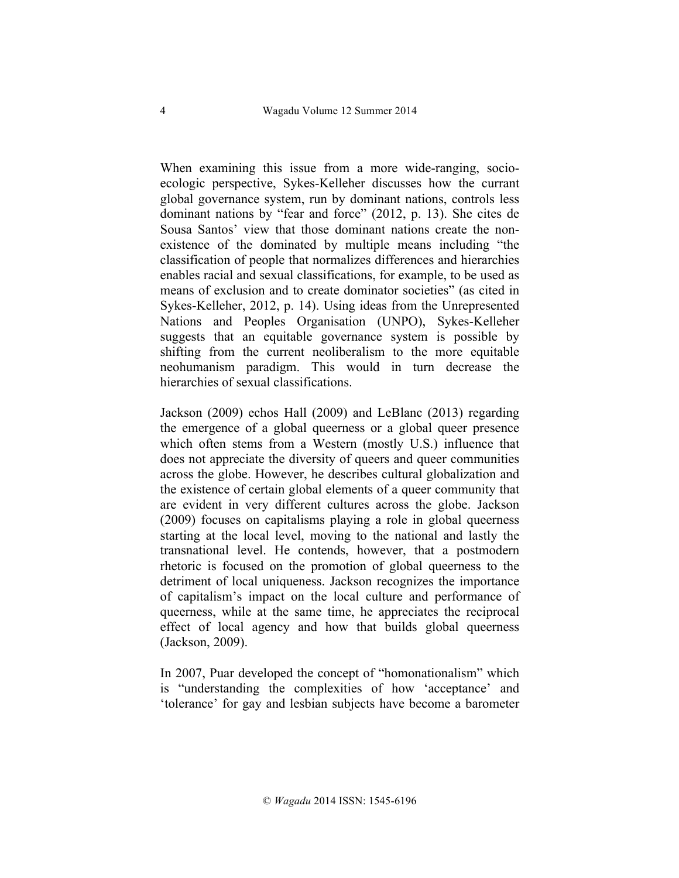When examining this issue from a more wide-ranging, socioecologic perspective, Sykes-Kelleher discusses how the currant global governance system, run by dominant nations, controls less dominant nations by "fear and force" (2012, p. 13). She cites de Sousa Santos' view that those dominant nations create the nonexistence of the dominated by multiple means including "the classification of people that normalizes differences and hierarchies enables racial and sexual classifications, for example, to be used as means of exclusion and to create dominator societies" (as cited in Sykes-Kelleher, 2012, p. 14). Using ideas from the Unrepresented Nations and Peoples Organisation (UNPO), Sykes-Kelleher suggests that an equitable governance system is possible by shifting from the current neoliberalism to the more equitable neohumanism paradigm. This would in turn decrease the hierarchies of sexual classifications.

Jackson (2009) echos Hall (2009) and LeBlanc (2013) regarding the emergence of a global queerness or a global queer presence which often stems from a Western (mostly U.S.) influence that does not appreciate the diversity of queers and queer communities across the globe. However, he describes cultural globalization and the existence of certain global elements of a queer community that are evident in very different cultures across the globe. Jackson (2009) focuses on capitalisms playing a role in global queerness starting at the local level, moving to the national and lastly the transnational level. He contends, however, that a postmodern rhetoric is focused on the promotion of global queerness to the detriment of local uniqueness. Jackson recognizes the importance of capitalism's impact on the local culture and performance of queerness, while at the same time, he appreciates the reciprocal effect of local agency and how that builds global queerness (Jackson, 2009).

In 2007, Puar developed the concept of "homonationalism" which is "understanding the complexities of how 'acceptance' and 'tolerance' for gay and lesbian subjects have become a barometer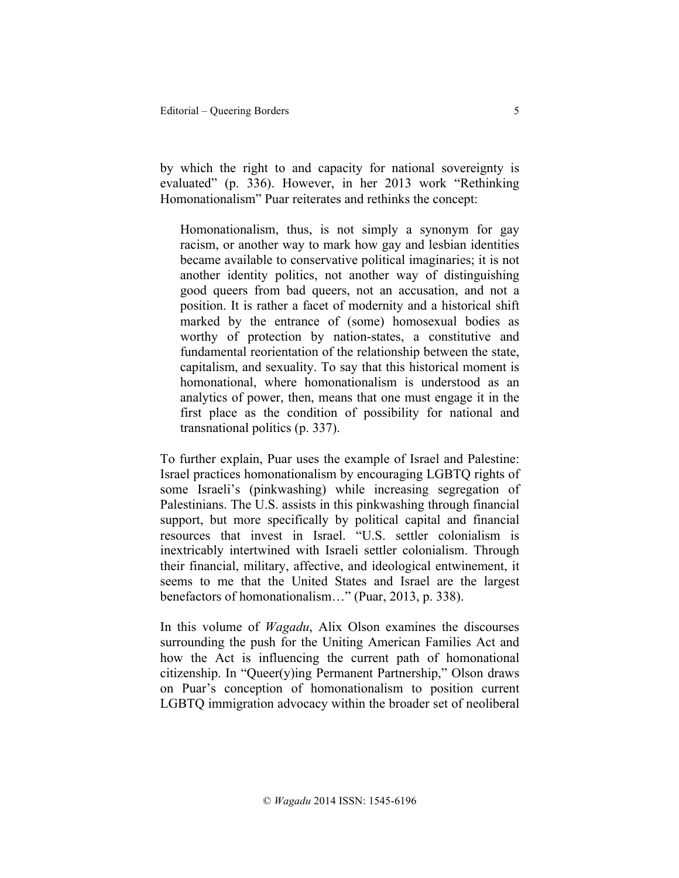by which the right to and capacity for national sovereignty is evaluated" (p. 336). However, in her 2013 work "Rethinking Homonationalism" Puar reiterates and rethinks the concept:

Homonationalism, thus, is not simply a synonym for gay racism, or another way to mark how gay and lesbian identities became available to conservative political imaginaries; it is not another identity politics, not another way of distinguishing good queers from bad queers, not an accusation, and not a position. It is rather a facet of modernity and a historical shift marked by the entrance of (some) homosexual bodies as worthy of protection by nation-states, a constitutive and fundamental reorientation of the relationship between the state, capitalism, and sexuality. To say that this historical moment is homonational, where homonationalism is understood as an analytics of power, then, means that one must engage it in the first place as the condition of possibility for national and transnational politics (p. 337).

To further explain, Puar uses the example of Israel and Palestine: Israel practices homonationalism by encouraging LGBTQ rights of some Israeli's (pinkwashing) while increasing segregation of Palestinians. The U.S. assists in this pinkwashing through financial support, but more specifically by political capital and financial resources that invest in Israel. "U.S. settler colonialism is inextricably intertwined with Israeli settler colonialism. Through their financial, military, affective, and ideological entwinement, it seems to me that the United States and Israel are the largest benefactors of homonationalism…" (Puar, 2013, p. 338).

In this volume of *Wagadu*, Alix Olson examines the discourses surrounding the push for the Uniting American Families Act and how the Act is influencing the current path of homonational citizenship. In "Queer(y)ing Permanent Partnership," Olson draws on Puar's conception of homonationalism to position current LGBTQ immigration advocacy within the broader set of neoliberal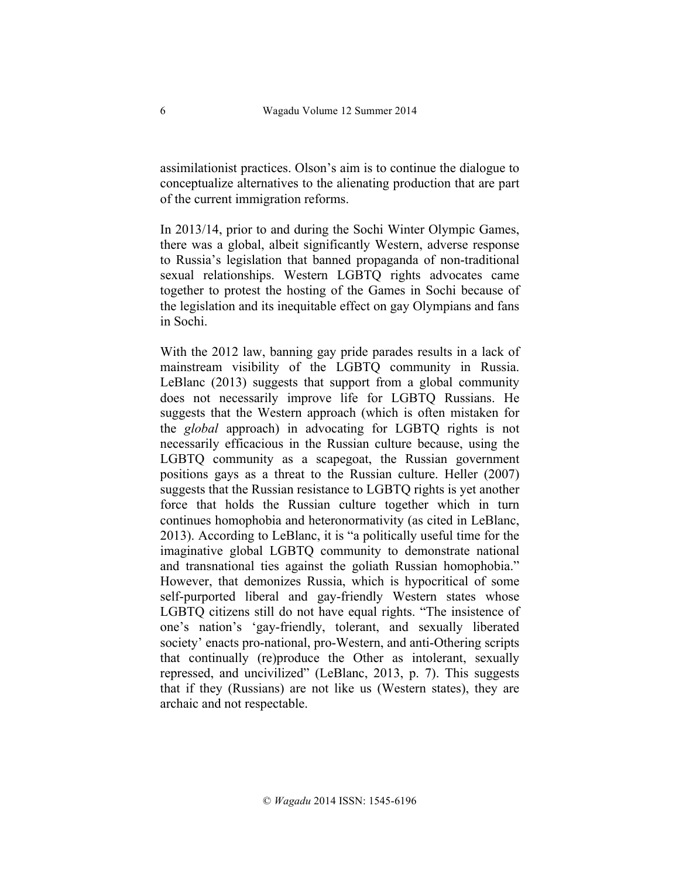assimilationist practices. Olson's aim is to continue the dialogue to conceptualize alternatives to the alienating production that are part of the current immigration reforms.

In 2013/14, prior to and during the Sochi Winter Olympic Games, there was a global, albeit significantly Western, adverse response to Russia's legislation that banned propaganda of non-traditional sexual relationships. Western LGBTQ rights advocates came together to protest the hosting of the Games in Sochi because of the legislation and its inequitable effect on gay Olympians and fans in Sochi.

With the 2012 law, banning gay pride parades results in a lack of mainstream visibility of the LGBTQ community in Russia. LeBlanc (2013) suggests that support from a global community does not necessarily improve life for LGBTQ Russians. He suggests that the Western approach (which is often mistaken for the *global* approach) in advocating for LGBTQ rights is not necessarily efficacious in the Russian culture because, using the LGBTQ community as a scapegoat, the Russian government positions gays as a threat to the Russian culture. Heller (2007) suggests that the Russian resistance to LGBTQ rights is yet another force that holds the Russian culture together which in turn continues homophobia and heteronormativity (as cited in LeBlanc, 2013). According to LeBlanc, it is "a politically useful time for the imaginative global LGBTQ community to demonstrate national and transnational ties against the goliath Russian homophobia." However, that demonizes Russia, which is hypocritical of some self-purported liberal and gay-friendly Western states whose LGBTQ citizens still do not have equal rights. "The insistence of one's nation's 'gay-friendly, tolerant, and sexually liberated society' enacts pro-national, pro-Western, and anti-Othering scripts that continually (re)produce the Other as intolerant, sexually repressed, and uncivilized" (LeBlanc, 2013, p. 7). This suggests that if they (Russians) are not like us (Western states), they are archaic and not respectable.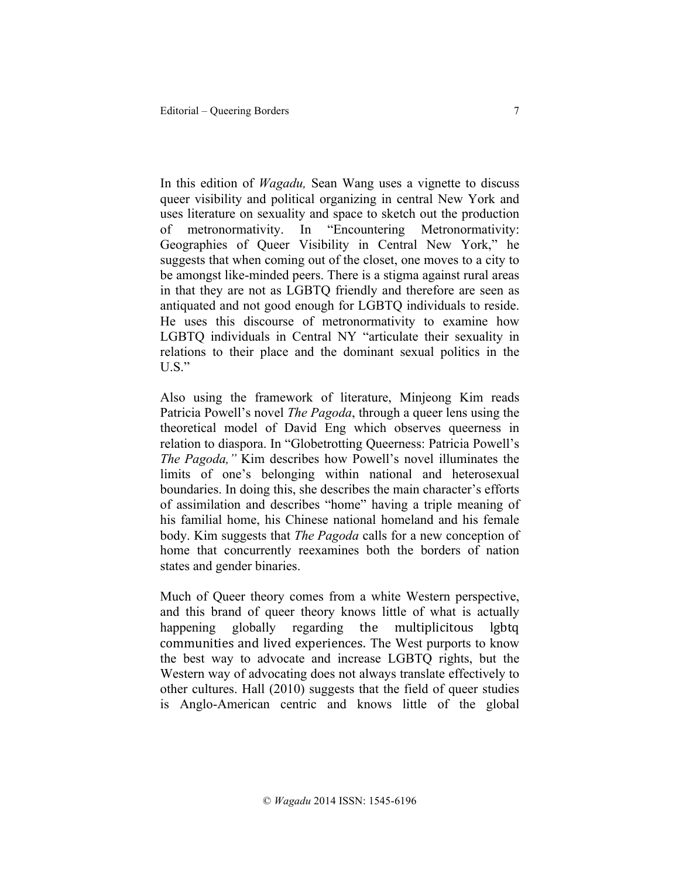In this edition of *Wagadu,* Sean Wang uses a vignette to discuss queer visibility and political organizing in central New York and uses literature on sexuality and space to sketch out the production of metronormativity. In "Encountering Metronormativity: Geographies of Queer Visibility in Central New York," he suggests that when coming out of the closet, one moves to a city to be amongst like-minded peers. There is a stigma against rural areas in that they are not as LGBTQ friendly and therefore are seen as antiquated and not good enough for LGBTQ individuals to reside. He uses this discourse of metronormativity to examine how LGBTQ individuals in Central NY "articulate their sexuality in relations to their place and the dominant sexual politics in the U.S."

Also using the framework of literature, Minjeong Kim reads Patricia Powell's novel *The Pagoda*, through a queer lens using the theoretical model of David Eng which observes queerness in relation to diaspora. In "Globetrotting Queerness: Patricia Powell's *The Pagoda,"* Kim describes how Powell's novel illuminates the limits of one's belonging within national and heterosexual boundaries. In doing this, she describes the main character's efforts of assimilation and describes "home" having a triple meaning of his familial home, his Chinese national homeland and his female body. Kim suggests that *The Pagoda* calls for a new conception of home that concurrently reexamines both the borders of nation states and gender binaries.

Much of Queer theory comes from a white Western perspective, and this brand of queer theory knows little of what is actually happening globally regarding the multiplicitous lgbtq communities and lived experiences. The West purports to know the best way to advocate and increase LGBTQ rights, but the Western way of advocating does not always translate effectively to other cultures. Hall (2010) suggests that the field of queer studies is Anglo-American centric and knows little of the global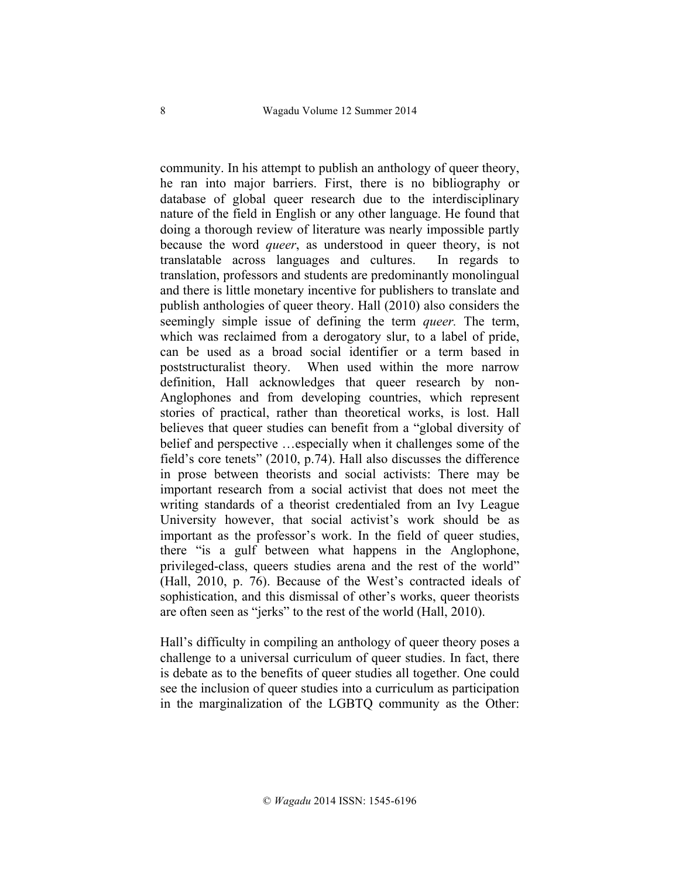community. In his attempt to publish an anthology of queer theory, he ran into major barriers. First, there is no bibliography or database of global queer research due to the interdisciplinary nature of the field in English or any other language. He found that doing a thorough review of literature was nearly impossible partly because the word *queer*, as understood in queer theory, is not translatable across languages and cultures. In regards to translation, professors and students are predominantly monolingual and there is little monetary incentive for publishers to translate and publish anthologies of queer theory. Hall (2010) also considers the seemingly simple issue of defining the term *queer.* The term, which was reclaimed from a derogatory slur, to a label of pride, can be used as a broad social identifier or a term based in poststructuralist theory. When used within the more narrow definition, Hall acknowledges that queer research by non-Anglophones and from developing countries, which represent stories of practical, rather than theoretical works, is lost. Hall believes that queer studies can benefit from a "global diversity of belief and perspective …especially when it challenges some of the field's core tenets" (2010, p.74). Hall also discusses the difference in prose between theorists and social activists: There may be important research from a social activist that does not meet the writing standards of a theorist credentialed from an Ivy League University however, that social activist's work should be as important as the professor's work. In the field of queer studies, there "is a gulf between what happens in the Anglophone, privileged-class, queers studies arena and the rest of the world" (Hall, 2010, p. 76). Because of the West's contracted ideals of sophistication, and this dismissal of other's works, queer theorists are often seen as "jerks" to the rest of the world (Hall, 2010).

Hall's difficulty in compiling an anthology of queer theory poses a challenge to a universal curriculum of queer studies. In fact, there is debate as to the benefits of queer studies all together. One could see the inclusion of queer studies into a curriculum as participation in the marginalization of the LGBTQ community as the Other: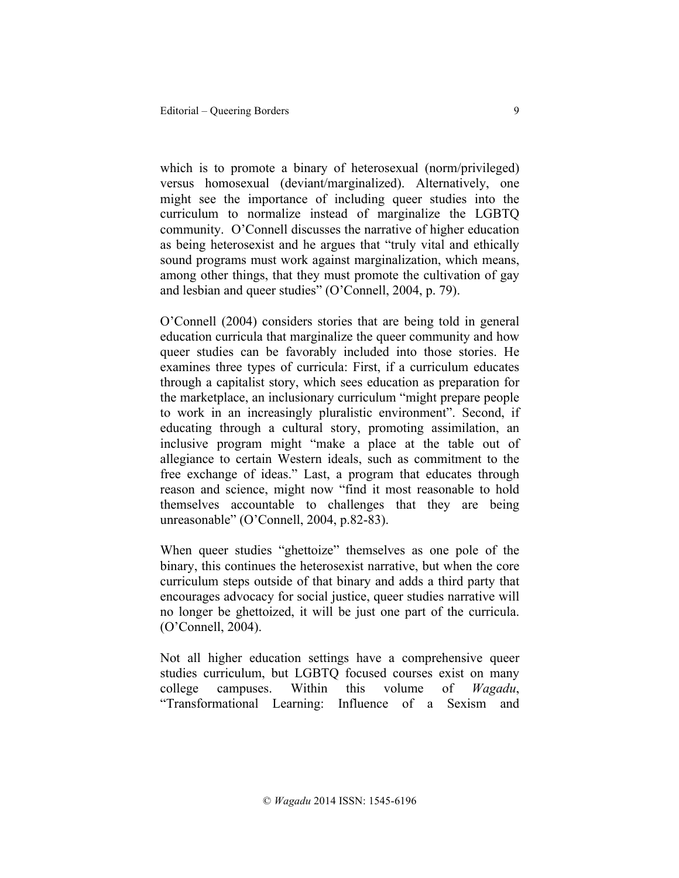which is to promote a binary of heterosexual (norm/privileged) versus homosexual (deviant/marginalized). Alternatively, one might see the importance of including queer studies into the curriculum to normalize instead of marginalize the LGBTQ community. O'Connell discusses the narrative of higher education as being heterosexist and he argues that "truly vital and ethically sound programs must work against marginalization, which means, among other things, that they must promote the cultivation of gay and lesbian and queer studies" (O'Connell, 2004, p. 79).

O'Connell (2004) considers stories that are being told in general education curricula that marginalize the queer community and how queer studies can be favorably included into those stories. He examines three types of curricula: First, if a curriculum educates through a capitalist story, which sees education as preparation for the marketplace, an inclusionary curriculum "might prepare people to work in an increasingly pluralistic environment". Second, if educating through a cultural story, promoting assimilation, an inclusive program might "make a place at the table out of allegiance to certain Western ideals, such as commitment to the free exchange of ideas." Last, a program that educates through reason and science, might now "find it most reasonable to hold themselves accountable to challenges that they are being unreasonable" (O'Connell, 2004, p.82-83).

When queer studies "ghettoize" themselves as one pole of the binary, this continues the heterosexist narrative, but when the core curriculum steps outside of that binary and adds a third party that encourages advocacy for social justice, queer studies narrative will no longer be ghettoized, it will be just one part of the curricula. (O'Connell, 2004).

Not all higher education settings have a comprehensive queer studies curriculum, but LGBTQ focused courses exist on many college campuses. Within this volume of *Wagadu*, "Transformational Learning: Influence of a Sexism and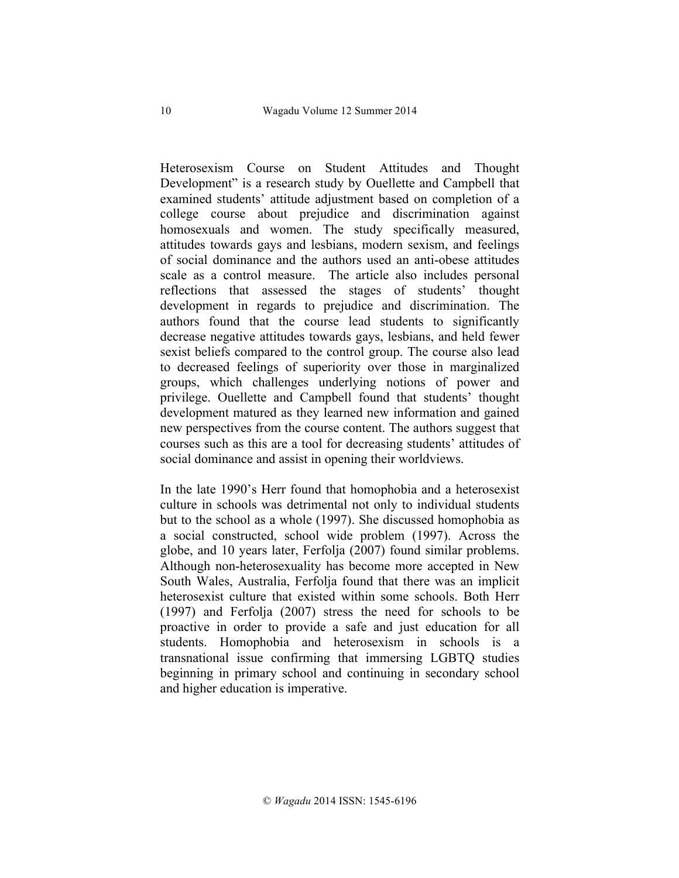Heterosexism Course on Student Attitudes and Thought Development" is a research study by Ouellette and Campbell that examined students' attitude adjustment based on completion of a college course about prejudice and discrimination against homosexuals and women. The study specifically measured, attitudes towards gays and lesbians, modern sexism, and feelings of social dominance and the authors used an anti-obese attitudes scale as a control measure. The article also includes personal reflections that assessed the stages of students' thought development in regards to prejudice and discrimination. The authors found that the course lead students to significantly decrease negative attitudes towards gays, lesbians, and held fewer sexist beliefs compared to the control group. The course also lead to decreased feelings of superiority over those in marginalized groups, which challenges underlying notions of power and privilege. Ouellette and Campbell found that students' thought development matured as they learned new information and gained new perspectives from the course content. The authors suggest that courses such as this are a tool for decreasing students' attitudes of social dominance and assist in opening their worldviews.

In the late 1990's Herr found that homophobia and a heterosexist culture in schools was detrimental not only to individual students but to the school as a whole (1997). She discussed homophobia as a social constructed, school wide problem (1997). Across the globe, and 10 years later, Ferfolja (2007) found similar problems. Although non-heterosexuality has become more accepted in New South Wales, Australia, Ferfolja found that there was an implicit heterosexist culture that existed within some schools. Both Herr (1997) and Ferfolja (2007) stress the need for schools to be proactive in order to provide a safe and just education for all students. Homophobia and heterosexism in schools is a transnational issue confirming that immersing LGBTQ studies beginning in primary school and continuing in secondary school and higher education is imperative.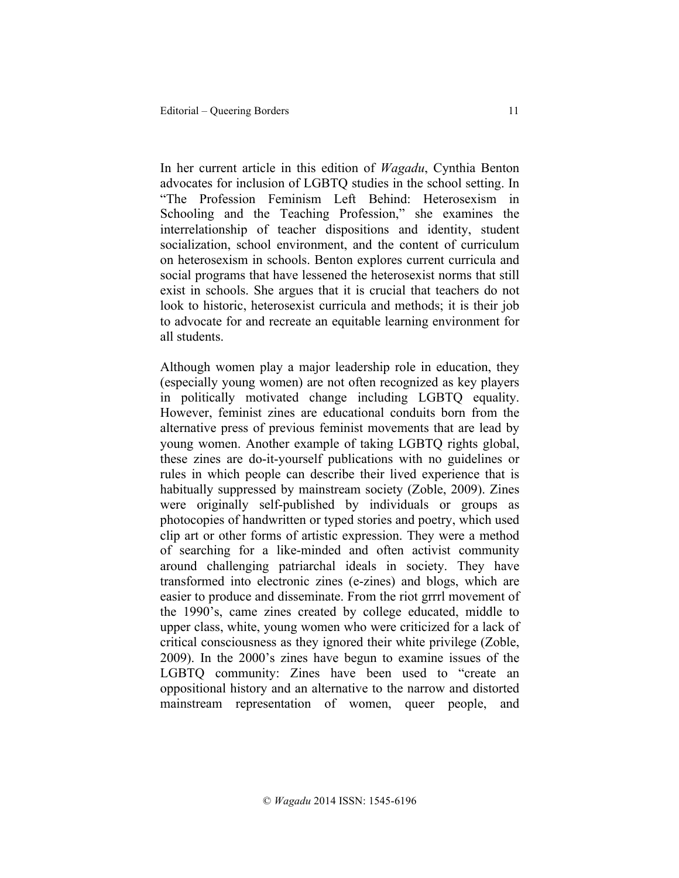In her current article in this edition of *Wagadu*, Cynthia Benton advocates for inclusion of LGBTQ studies in the school setting. In "The Profession Feminism Left Behind: Heterosexism in Schooling and the Teaching Profession," she examines the interrelationship of teacher dispositions and identity, student socialization, school environment, and the content of curriculum on heterosexism in schools. Benton explores current curricula and social programs that have lessened the heterosexist norms that still exist in schools. She argues that it is crucial that teachers do not look to historic, heterosexist curricula and methods; it is their job to advocate for and recreate an equitable learning environment for all students.

Although women play a major leadership role in education, they (especially young women) are not often recognized as key players in politically motivated change including LGBTQ equality. However, feminist zines are educational conduits born from the alternative press of previous feminist movements that are lead by young women. Another example of taking LGBTQ rights global, these zines are do-it-yourself publications with no guidelines or rules in which people can describe their lived experience that is habitually suppressed by mainstream society (Zoble, 2009). Zines were originally self-published by individuals or groups as photocopies of handwritten or typed stories and poetry, which used clip art or other forms of artistic expression. They were a method of searching for a like-minded and often activist community around challenging patriarchal ideals in society. They have transformed into electronic zines (e-zines) and blogs, which are easier to produce and disseminate. From the riot grrrl movement of the 1990's, came zines created by college educated, middle to upper class, white, young women who were criticized for a lack of critical consciousness as they ignored their white privilege (Zoble, 2009). In the 2000's zines have begun to examine issues of the LGBTQ community: Zines have been used to "create an oppositional history and an alternative to the narrow and distorted mainstream representation of women, queer people, and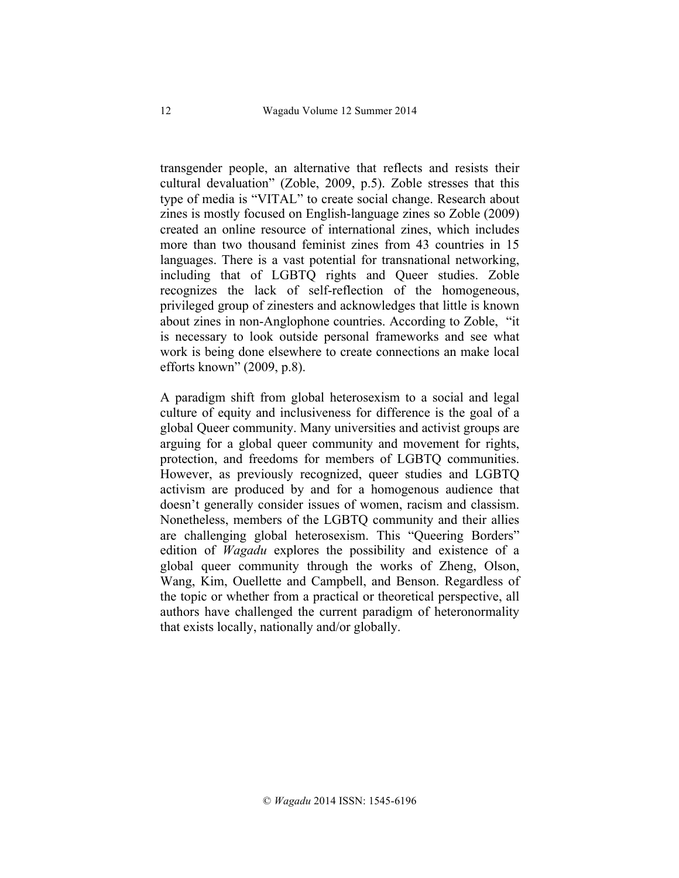transgender people, an alternative that reflects and resists their cultural devaluation" (Zoble, 2009, p.5). Zoble stresses that this type of media is "VITAL" to create social change. Research about zines is mostly focused on English-language zines so Zoble (2009) created an online resource of international zines, which includes more than two thousand feminist zines from 43 countries in 15 languages. There is a vast potential for transnational networking, including that of LGBTQ rights and Queer studies. Zoble recognizes the lack of self-reflection of the homogeneous, privileged group of zinesters and acknowledges that little is known about zines in non-Anglophone countries. According to Zoble, "it is necessary to look outside personal frameworks and see what work is being done elsewhere to create connections an make local efforts known" (2009, p.8).

A paradigm shift from global heterosexism to a social and legal culture of equity and inclusiveness for difference is the goal of a global Queer community. Many universities and activist groups are arguing for a global queer community and movement for rights, protection, and freedoms for members of LGBTQ communities. However, as previously recognized, queer studies and LGBTQ activism are produced by and for a homogenous audience that doesn't generally consider issues of women, racism and classism. Nonetheless, members of the LGBTQ community and their allies are challenging global heterosexism. This "Queering Borders" edition of *Wagadu* explores the possibility and existence of a global queer community through the works of Zheng, Olson, Wang, Kim, Ouellette and Campbell, and Benson. Regardless of the topic or whether from a practical or theoretical perspective, all authors have challenged the current paradigm of heteronormality that exists locally, nationally and/or globally.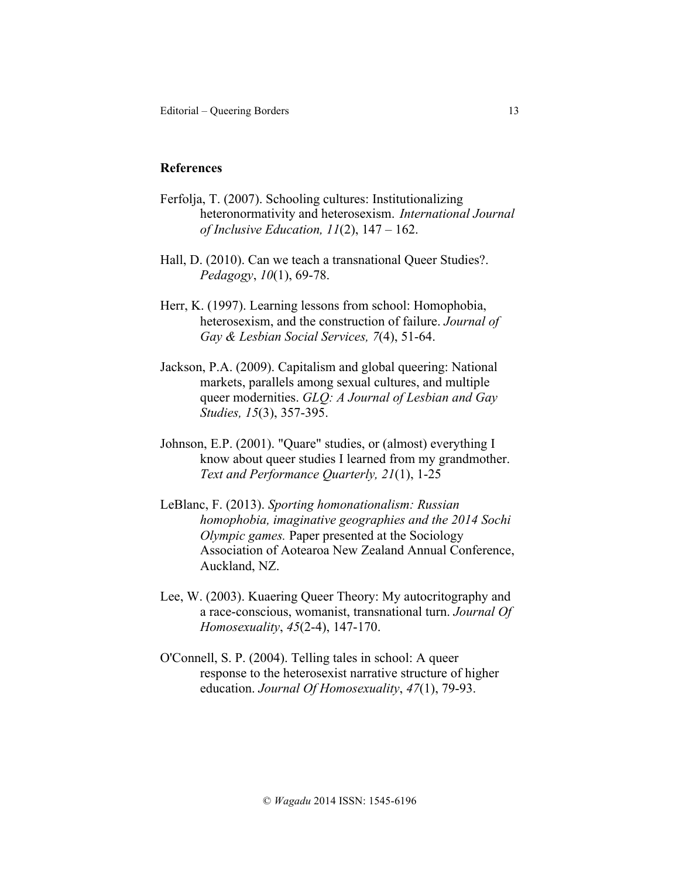## **References**

- Ferfolja, T. (2007). Schooling cultures: Institutionalizing heteronormativity and heterosexism. *International Journal of Inclusive Education, 11*(2), 147 – 162.
- Hall, D. (2010). Can we teach a transnational Queer Studies?. *Pedagogy*, *10*(1), 69-78.
- Herr, K. (1997). Learning lessons from school: Homophobia, heterosexism, and the construction of failure. *Journal of Gay & Lesbian Social Services, 7*(4), 51-64.
- Jackson, P.A. (2009). Capitalism and global queering: National markets, parallels among sexual cultures, and multiple queer modernities. *GLQ: A Journal of Lesbian and Gay Studies, 15*(3), 357-395.
- Johnson, E.P. (2001). "Quare" studies, or (almost) everything I know about queer studies I learned from my grandmother. *Text and Performance Quarterly, 21*(1), 1-25
- LeBlanc, F. (2013). *Sporting homonationalism: Russian homophobia, imaginative geographies and the 2014 Sochi Olympic games.* Paper presented at the Sociology Association of Aotearoa New Zealand Annual Conference, Auckland, NZ.
- Lee, W. (2003). Kuaering Queer Theory: My autocritography and a race-conscious, womanist, transnational turn. *Journal Of Homosexuality*, *45*(2-4), 147-170.
- O'Connell, S. P. (2004). Telling tales in school: A queer response to the heterosexist narrative structure of higher education. *Journal Of Homosexuality*, *47*(1), 79-93.